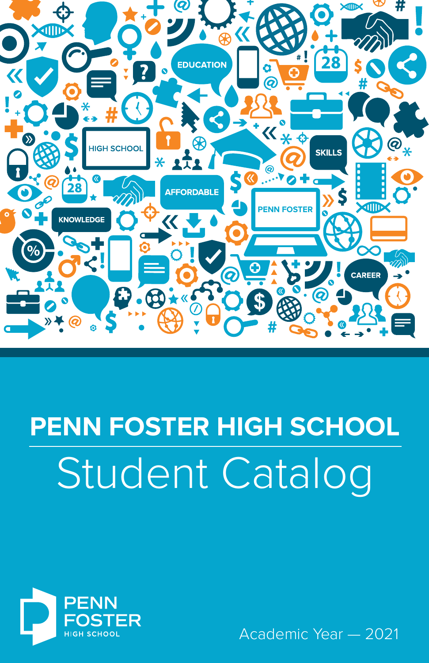

# Student Catalog **PENN FOSTER HIGH SCHOOL**



Academic Year — 2021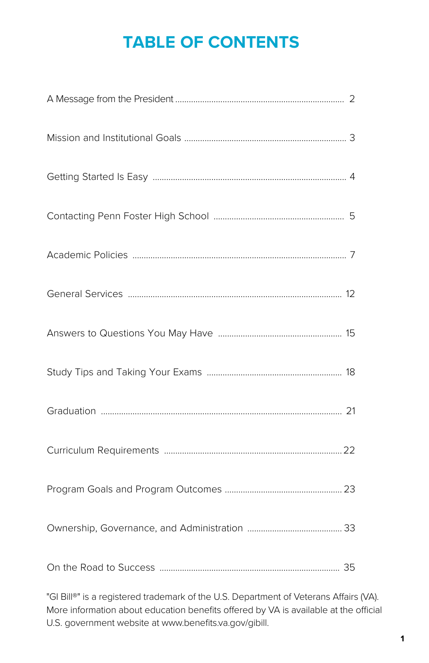## **TABLE OF CONTENTS**

"GI Bill®" is a registered trademark of the U.S. Department of Veterans Affairs (VA). More information about education benefits offered by VA is available at the official U.S. government website at www.benefits.va.gov/gibill.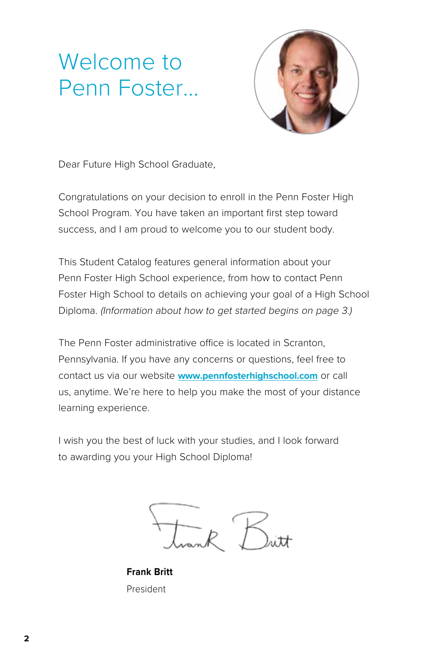## Welcome to Penn Foster...



Dear Future High School Graduate,

Congratulations on your decision to enroll in the Penn Foster High School Program. You have taken an important first step toward success, and I am proud to welcome you to our student body.

This Student Catalog features general information about your Penn Foster High School experience, from how to contact Penn Foster High School to details on achieving your goal of a High School Diploma. (Information about how to get started begins on page 3.)

The Penn Foster administrative office is located in Scranton, Pennsylvania. If you have any concerns or questions, feel free to contact us via our website **[www.pennfosterhighschool.com](http://www.pennfosterhighschool.com)** or call us, anytime. We're here to help you make the most of your distance learning experience.

I wish you the best of luck with your studies, and I look forward to awarding you your High School Diploma!



**Frank Britt** President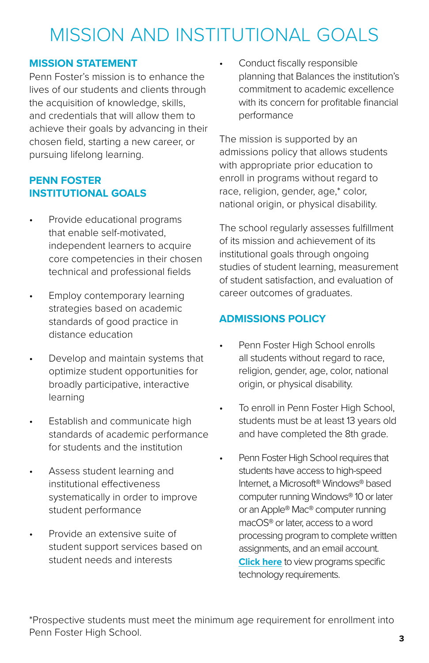## MISSION AND INSTITUTIONAL GOALS

## **MISSION STATEMENT**

Penn Foster's mission is to enhance the lives of our students and clients through the acquisition of knowledge, skills, and credentials that will allow them to achieve their goals by advancing in their chosen field, starting a new career, or pursuing lifelong learning.

## **PENN FOSTER INSTITUTIONAL GOALS**

- Provide educational programs that enable self-motivated, independent learners to acquire core competencies in their chosen technical and professional fields
- Employ contemporary learning strategies based on academic standards of good practice in distance education
- Develop and maintain systems that optimize student opportunities for broadly participative, interactive learning
- Establish and communicate high standards of academic performance for students and the institution
- Assess student learning and institutional effectiveness systematically in order to improve student performance
- Provide an extensive suite of student support services based on student needs and interests

Conduct fiscally responsible planning that Balances the institution's commitment to academic excellence with its concern for profitable financial performance

The mission is supported by an admissions policy that allows students with appropriate prior education to enroll in programs without regard to race, religion, gender, age,\* color, national origin, or physical disability.

The school regularly assesses fulfillment of its mission and achievement of its institutional goals through ongoing studies of student learning, measurement of student satisfaction, and evaluation of career outcomes of graduates.

## **ADMISSIONS POLICY**

- Penn Foster High School enrolls all students without regard to race, religion, gender, age, color, national origin, or physical disability.
- To enroll in Penn Foster High School, students must be at least 13 years old and have completed the 8th grade.
- Penn Foster High School requires that students have access to high-speed Internet, a Microsoft® Windows® based computer running Windows® 10 or later or an Apple® Mac® computer running macOS® or later, access to a word processing program to complete written assignments, and an email account. **[Click here](https://www.pennfoster.edu/-/media/files/pdf/computerspecs/20191202.pdf)** to view programs specific technology requirements.

\*Prospective students must meet the minimum age requirement for enrollment into Penn Foster High School.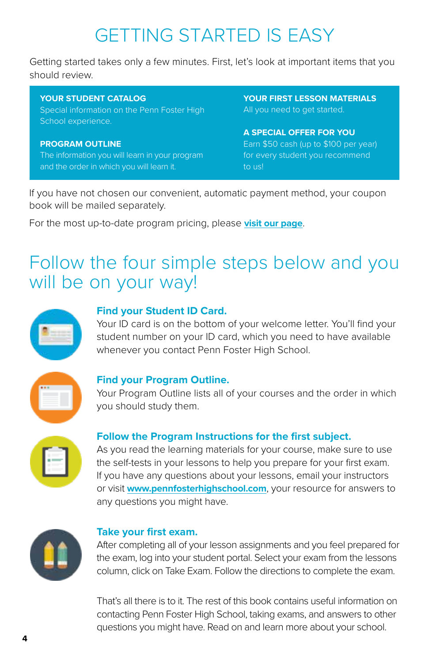## GETTING STARTED IS EASY

Getting started takes only a few minutes. First, let's look at important items that you should review.

#### **YOUR STUDENT CATALOG**

Special information on the Penn Foster High School experience.

#### **PROGRAM OUTLINE**

The information you will learn in your program and the order in which you will learn it.

**YOUR FIRST LESSON MATERIALS** All you need to get started.

#### **A SPECIAL OFFER FOR YOU**

Earn \$50 cash (up to \$100 per year) for every student you recommend to us!

If you have not chosen our convenient, automatic payment method, your coupon book will be mailed separately.

For the most up-to-date program pricing, please **[visit our page](http://www.pennfoster.edu/programs-and-degrees/high-school/high-school-diploma)**.

## Follow the four simple steps below and you will be on your way!

| ÷. |  |
|----|--|
|    |  |

### **Find your Student ID Card.**

Your ID card is on the bottom of your welcome letter. You'll find your student number on your ID card, which you need to have available whenever you contact Penn Foster High School.

|  | ╲ |  |
|--|---|--|
|  |   |  |
|  |   |  |
|  |   |  |

#### **Find your Program Outline.**

Your Program Outline lists all of your courses and the order in which you should study them.



## **Follow the Program Instructions for the first subject.**

As you read the learning materials for your course, make sure to use the self-tests in your lessons to help you prepare for your first exam. If you have any questions about your lessons, email your instructors or visit **[www.pennfosterhighschool.com](http://www.pennfosterhighschool.com)**, your resource for answers to any questions you might have.



#### **Take your first exam.**

After completing all of your lesson assignments and you feel prepared for the exam, log into your student portal. Select your exam from the lessons column, click on Take Exam. Follow the directions to complete the exam.

That's all there is to it. The rest of this book contains useful information on contacting Penn Foster High School, taking exams, and answers to other questions you might have. Read on and learn more about your school.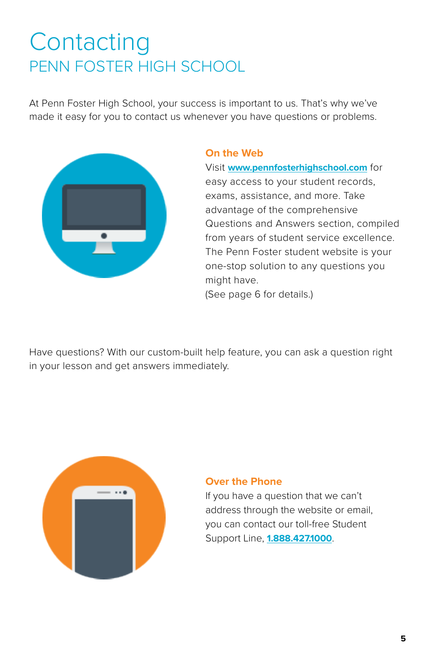## **Contacting** PENN FOSTER HIGH SCHOOL

At Penn Foster High School, your success is important to us. That's why we've made it easy for you to contact us whenever you have questions or problems.



## **On the Web**

Visit **[www.pennfosterhighschool.com](http://www.pennfosterhighschool.com)** for easy access to your student records, exams, assistance, and more. Take advantage of the comprehensive Questions and Answers section, compiled from years of student service excellence. The Penn Foster student website is your one-stop solution to any questions you might have.

(See page 6 for details.)

Have questions? With our custom-built help feature, you can ask a question right in your lesson and get answers immediately.



## **Over the Phone**

If you have a question that we can't address through the website or email, you can contact our toll-free Student Support Line, **[1.888.427.1000](Tel:1.888.427.1000)**.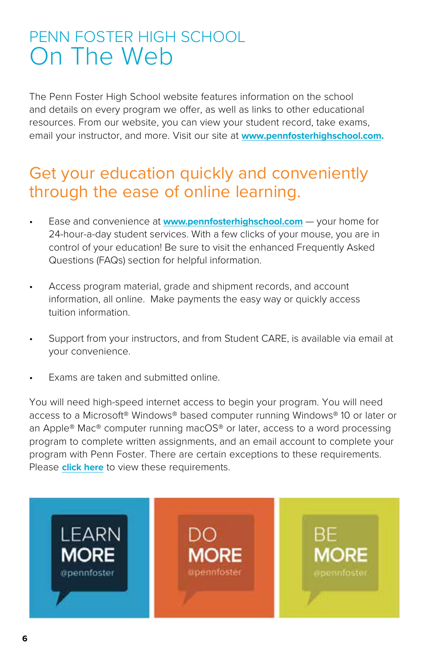## PENN FOSTER HIGH SCHOOL On The Web

The Penn Foster High School website features information on the school and details on every program we offer, as well as links to other educational resources. From our website, you can view your student record, take exams, email your instructor, and more. Visit our site at **[www.pennfosterhighschool.com](http://www.pennfosterhighschool.com).**

## Get your education quickly and conveniently through the ease of online learning.

- Ease and convenience at **[www.pennfosterhighschool.com](http://www.pennfosterhighschool.com)** your home for 24-hour-a-day student services. With a few clicks of your mouse, you are in control of your education! Be sure to visit the enhanced Frequently Asked Questions (FAQs) section for helpful information.
- Access program material, grade and shipment records, and account information, all online. Make payments the easy way or quickly access tuition information.
- Support from your instructors, and from Student CARE, is available via email at your convenience.
- Exams are taken and submitted online.

You will need high-speed internet access to begin your program. You will need access to a Microsoft® Windows® based computer running Windows® 10 or later or an Apple® Mac® computer running macOS® or later, access to a word processing program to complete written assignments, and an email account to complete your program with Penn Foster. There are certain exceptions to these requirements. Please **[click here](https://www.pennfoster.edu/-/media/files/pdf/computerspecs/20191202.pdf)** to view these requirements.

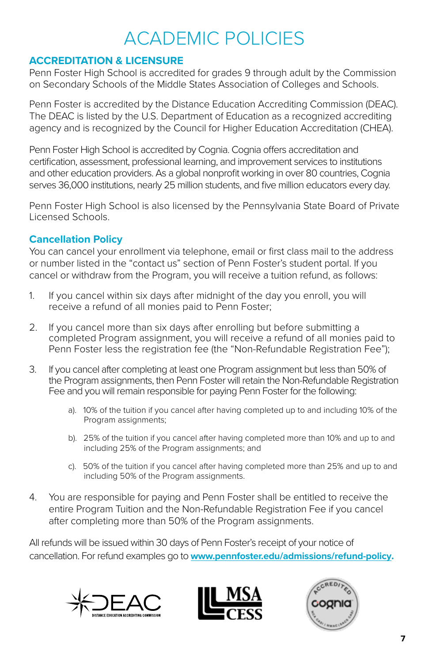## ACADEMIC POLICIES

## **ACCREDITATION & LICENSURE**

Penn Foster High School is accredited for grades 9 through adult by the Commission on Secondary Schools of the Middle States Association of Colleges and Schools.

Penn Foster is accredited by the Distance Education Accrediting Commission (DEAC). The DEAC is listed by the U.S. Department of Education as a recognized accrediting agency and is recognized by the Council for Higher Education Accreditation (CHEA).

Penn Foster High School is accredited by Cognia. Cognia offers accreditation and certification, assessment, professional learning, and improvement services to institutions and other education providers. As a global nonprofit working in over 80 countries, Cognia serves 36,000 institutions, nearly 25 million students, and five million educators every day.

Penn Foster High School is also licensed by the Pennsylvania State Board of Private Licensed Schools.

## **Cancellation Policy**

You can cancel your enrollment via telephone, email or first class mail to the address or number listed in the "contact us" section of Penn Foster's student portal. If you cancel or withdraw from the Program, you will receive a tuition refund, as follows:

- 1. If you cancel within six days after midnight of the day you enroll, you will receive a refund of all monies paid to Penn Foster;
- 2. If you cancel more than six days after enrolling but before submitting a completed Program assignment, you will receive a refund of all monies paid to Penn Foster less the registration fee (the "Non-Refundable Registration Fee");
- 3. If you cancel after completing at least one Program assignment but less than 50% of the Program assignments, then Penn Foster will retain the Non-Refundable Registration Fee and you will remain responsible for paying Penn Foster for the following:
	- a). 10% of the tuition if you cancel after having completed up to and including 10% of the Program assignments;
	- b). 25% of the tuition if you cancel after having completed more than 10% and up to and including 25% of the Program assignments; and
	- c). 50% of the tuition if you cancel after having completed more than 25% and up to and including 50% of the Program assignments.
- 4. You are responsible for paying and Penn Foster shall be entitled to receive the entire Program Tuition and the Non-Refundable Registration Fee if you cancel after completing more than 50% of the Program assignments.

All refunds will be issued within 30 days of Penn Foster's receipt of your notice of cancellation. For refund examples go to **[www.pennfoster.edu/admissions/refund-policy](http://www.pennfoster.edu/admissions/refund-policy).**





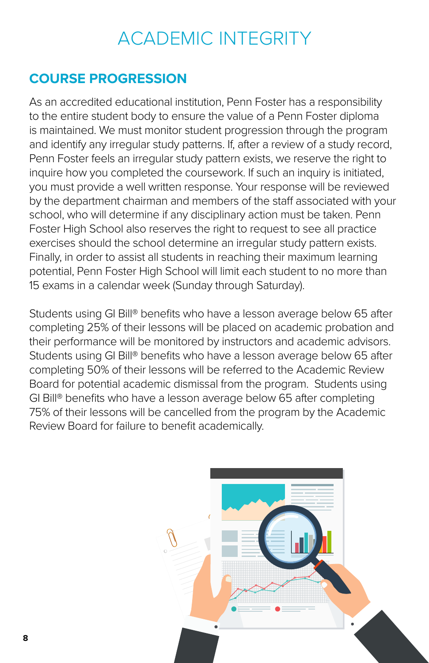## ACADEMIC INTEGRITY

## **COURSE PROGRESSION**

As an accredited educational institution, Penn Foster has a responsibility to the entire student body to ensure the value of a Penn Foster diploma is maintained. We must monitor student progression through the program and identify any irregular study patterns. If, after a review of a study record, Penn Foster feels an irregular study pattern exists, we reserve the right to inquire how you completed the coursework. If such an inquiry is initiated, you must provide a well written response. Your response will be reviewed by the department chairman and members of the staff associated with your school, who will determine if any disciplinary action must be taken. Penn Foster High School also reserves the right to request to see all practice exercises should the school determine an irregular study pattern exists. Finally, in order to assist all students in reaching their maximum learning potential, Penn Foster High School will limit each student to no more than 15 exams in a calendar week (Sunday through Saturday).

Students using GI Bill® benefits who have a lesson average below 65 after completing 25% of their lessons will be placed on academic probation and their performance will be monitored by instructors and academic advisors. Students using GI Bill® benefits who have a lesson average below 65 after completing 50% of their lessons will be referred to the Academic Review Board for potential academic dismissal from the program. Students using GI Bill® benefits who have a lesson average below 65 after completing 75% of their lessons will be cancelled from the program by the Academic Review Board for failure to benefit academically.

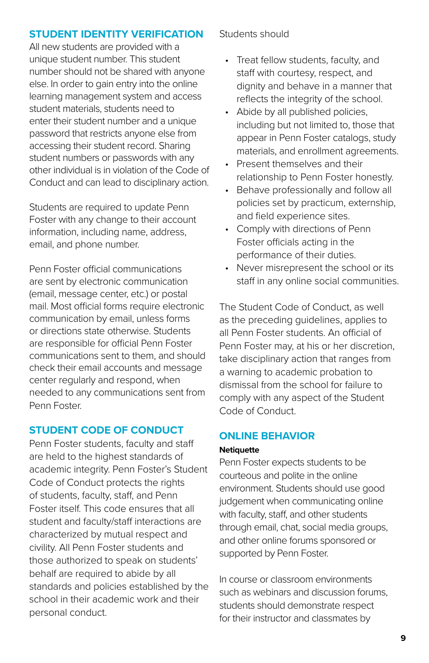## **STUDENT IDENTITY VERIFICATION**

All new students are provided with a unique student number. This student number should not be shared with anyone else. In order to gain entry into the online learning management system and access student materials, students need to enter their student number and a unique password that restricts anyone else from accessing their student record. Sharing student numbers or passwords with any other individual is in violation of the Code of Conduct and can lead to disciplinary action.

Students are required to update Penn Foster with any change to their account information, including name, address, email, and phone number.

Penn Foster official communications are sent by electronic communication (email, message center, etc.) or postal mail. Most official forms require electronic communication by email, unless forms or directions state otherwise. Students are responsible for official Penn Foster communications sent to them, and should check their email accounts and message center regularly and respond, when needed to any communications sent from Penn Foster.

## **STUDENT CODE OF CONDUCT**

Penn Foster students, faculty and staff are held to the highest standards of academic integrity. Penn Foster's Student Code of Conduct protects the rights of students, faculty, staff, and Penn Foster itself. This code ensures that all student and faculty/staff interactions are characterized by mutual respect and civility. All Penn Foster students and those authorized to speak on students' behalf are required to abide by all standards and policies established by the school in their academic work and their personal conduct.

Students should

- Treat fellow students, faculty, and staff with courtesy, respect, and dignity and behave in a manner that reflects the integrity of the school.
- Abide by all published policies, including but not limited to, those that appear in Penn Foster catalogs, study materials, and enrollment agreements.
- Present themselves and their relationship to Penn Foster honestly.
- Behave professionally and follow all policies set by practicum, externship, and field experience sites.
- Comply with directions of Penn Foster officials acting in the performance of their duties.
- Never misrepresent the school or its staff in any online social communities.

The Student Code of Conduct, as well as the preceding guidelines, applies to all Penn Foster students. An official of Penn Foster may, at his or her discretion, take disciplinary action that ranges from a warning to academic probation to dismissal from the school for failure to comply with any aspect of the Student Code of Conduct.

## **ONLINE BEHAVIOR**

### **Netiquette**

Penn Foster expects students to be courteous and polite in the online environment. Students should use good judgement when communicating online with faculty, staff, and other students through email, chat, social media groups, and other online forums sponsored or supported by Penn Foster.

In course or classroom environments such as webinars and discussion forums, students should demonstrate respect for their instructor and classmates by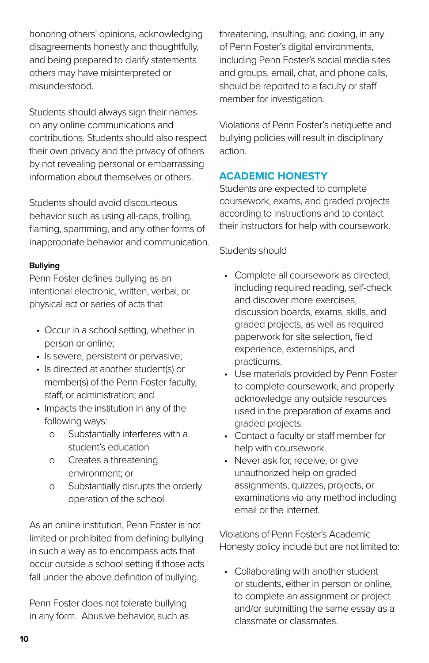honoring others' opinions, acknowledging disagreements honestly and thoughtfully, and being prepared to clarify statements others may have misinterpreted or misunderstood.

Students should always sign their names on any online communications and contributions. Students should also respect their own privacy and the privacy of others by not revealing personal or embarrassing information about themselves or others.

Students should avoid discourteous behavior such as using all-caps, trolling, flaming, spamming, and any other forms of inappropriate behavior and communication.

## **Bullying**

Penn Foster defines bullying as an intentional electronic, written, verbal, or physical act or series of acts that

- Occur in a school setting, whether in person or online;
- Is severe, persistent or pervasive;
- Is directed at another student(s) or member(s) of the Penn Foster faculty, staff, or administration; and
- Impacts the institution in any of the following ways:
	- o Substantially interferes with a student's education
	- o Creates a threatening environment; or
	- o Substantially disrupts the orderly operation of the school.

As an online institution, Penn Foster is not limited or prohibited from defining bullying in such a way as to encompass acts that occur outside a school setting if those acts fall under the above definition of bullying.

Penn Foster does not tolerate bullying in any form. Abusive behavior, such as threatening, insulting, and doxing, in any of Penn Foster's digital environments, including Penn Foster's social media sites and groups, email, chat, and phone calls, should be reported to a faculty or staff member for investigation.

Violations of Penn Foster's netiquette and bullying policies will result in disciplinary action.

## **ACADEMIC HONESTY**

Students are expected to complete coursework, exams, and graded projects according to instructions and to contact their instructors for help with coursework.

## Students should

- Complete all coursework as directed, including required reading, self-check and discover more exercises, discussion boards, exams, skills, and graded projects, as well as required paperwork for site selection, field experience, externships, and practicums.
- Use materials provided by Penn Foster to complete coursework, and properly acknowledge any outside resources used in the preparation of exams and graded projects.
- Contact a faculty or staff member for help with coursework.
- Never ask for, receive, or give unauthorized help on graded assignments, quizzes, projects, or examinations via any method including email or the internet.

Violations of Penn Foster's Academic Honesty policy include but are not limited to:

• Collaborating with another student or students, either in person or online, to complete an assignment or project and/or submitting the same essay as a classmate or classmates.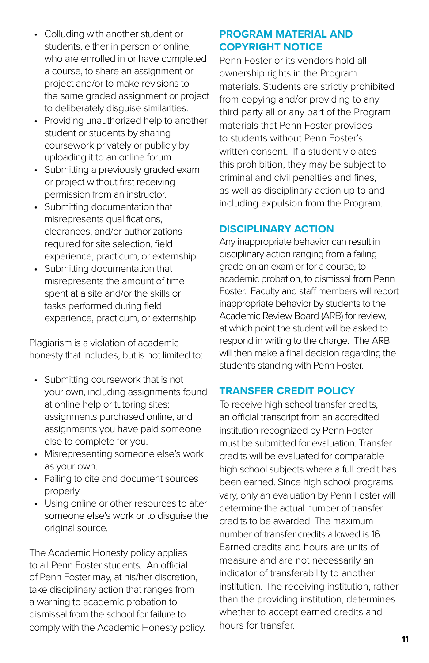- Colluding with another student or students, either in person or online, who are enrolled in or have completed a course, to share an assignment or project and/or to make revisions to the same graded assignment or project to deliberately disguise similarities.
- Providing unauthorized help to another student or students by sharing coursework privately or publicly by uploading it to an online forum.
- Submitting a previously graded exam or project without first receiving permission from an instructor.
- Submitting documentation that misrepresents qualifications, clearances, and/or authorizations required for site selection, field experience, practicum, or externship.
- Submitting documentation that misrepresents the amount of time spent at a site and/or the skills or tasks performed during field experience, practicum, or externship.

Plagiarism is a violation of academic honesty that includes, but is not limited to:

- Submitting coursework that is not your own, including assignments found at online help or tutoring sites; assignments purchased online, and assignments you have paid someone else to complete for you.
- Misrepresenting someone else's work as your own.
- Failing to cite and document sources properly.
- Using online or other resources to alter someone else's work or to disguise the original source.

The Academic Honesty policy applies to all Penn Foster students. An official of Penn Foster may, at his/her discretion, take disciplinary action that ranges from a warning to academic probation to dismissal from the school for failure to comply with the Academic Honesty policy.

## **PROGRAM MATERIAL AND COPYRIGHT NOTICE**

Penn Foster or its vendors hold all ownership rights in the Program materials. Students are strictly prohibited from copying and/or providing to any third party all or any part of the Program materials that Penn Foster provides to students without Penn Foster's written consent. If a student violates this prohibition, they may be subject to criminal and civil penalties and fines, as well as disciplinary action up to and including expulsion from the Program.

## **DISCIPLINARY ACTION**

Any inappropriate behavior can result in disciplinary action ranging from a failing grade on an exam or for a course, to academic probation, to dismissal from Penn Foster. Faculty and staff members will report inappropriate behavior by students to the Academic Review Board (ARB) for review, at which point the student will be asked to respond in writing to the charge. The ARB will then make a final decision regarding the student's standing with Penn Foster.

## **TRANSFER CREDIT POLICY**

To receive high school transfer credits, an official transcript from an accredited institution recognized by Penn Foster must be submitted for evaluation. Transfer credits will be evaluated for comparable high school subjects where a full credit has been earned. Since high school programs vary, only an evaluation by Penn Foster will determine the actual number of transfer credits to be awarded. The maximum number of transfer credits allowed is 16. Earned credits and hours are units of measure and are not necessarily an indicator of transferability to another institution. The receiving institution, rather than the providing institution, determines whether to accept earned credits and hours for transfer.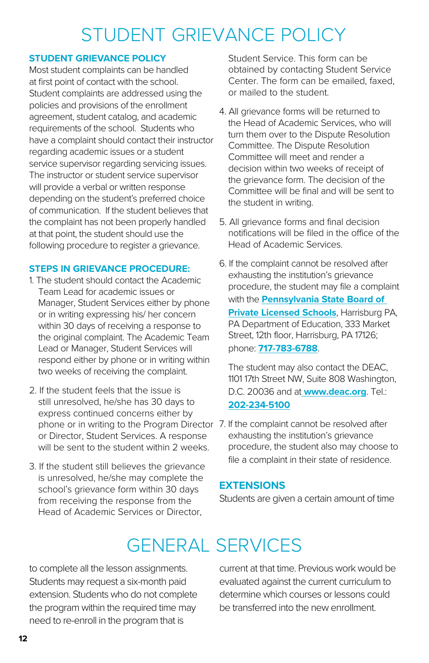## STUDENT GRIEVANCE POLICY

### **STUDENT GRIEVANCE POLICY**

Most student complaints can be handled at first point of contact with the school. Student complaints are addressed using the policies and provisions of the enrollment agreement, student catalog, and academic requirements of the school. Students who have a complaint should contact their instructor regarding academic issues or a student service supervisor regarding servicing issues. The instructor or student service supervisor will provide a verbal or written response depending on the student's preferred choice of communication. If the student believes that the complaint has not been properly handled at that point, the student should use the following procedure to register a grievance.

### **STEPS IN GRIEVANCE PROCEDURE:**

- 1. The student should contact the Academic Team Lead for academic issues or Manager, Student Services either by phone or in writing expressing his/ her concern within 30 days of receiving a response to the original complaint. The Academic Team Lead or Manager, Student Services will respond either by phone or in writing within two weeks of receiving the complaint.
- 2. If the student feels that the issue is still unresolved, he/she has 30 days to express continued concerns either by phone or in writing to the Program Director 7. If the complaint cannot be resolved after or Director, Student Services. A response will be sent to the student within 2 weeks.
- 3. If the student still believes the grievance is unresolved, he/she may complete the school's grievance form within 30 days from receiving the response from the Head of Academic Services or Director,

Student Service. This form can be obtained by contacting Student Service Center. The form can be emailed, faxed, or mailed to the student.

- 4. All grievance forms will be returned to the Head of Academic Services, who will turn them over to the Dispute Resolution Committee. The Dispute Resolution Committee will meet and render a decision within two weeks of receipt of the grievance form. The decision of the Committee will be final and will be sent to the student in writing.
- 5. All grievance forms and final decision notifications will be filed in the office of the Head of Academic Services.
- 6. If the complaint cannot be resolved after exhausting the institution's grievance procedure, the student may file a complaint with the **[Pennsylvania State Board of](https://www.education.pa.gov/Postsecondary-Adult/CollegeCareer/Pages/Private-Licensed-Schools.aspx)  [Private Licensed Schools](https://www.education.pa.gov/Postsecondary-Adult/CollegeCareer/Pages/Private-Licensed-Schools.aspx)**, Harrisburg PA, PA Department of Education, 333 Market Street, 12th floor, Harrisburg, PA 17126; phone: **[717-783-6788](Tel:717-783-6788)**.

The student may also contact the DEAC, 1101 17th Street NW, Suite 808 Washington, D.C. 20036 and at **[www.deac.org](http://www.deac.org)**. Tel.: **[202-234-5100](Tel:202-234-5100)**

exhausting the institution's grievance procedure, the student also may choose to file a complaint in their state of residence.

## **EXTENSIONS**

Students are given a certain amount of time

## GENERAL SERVICES

to complete all the lesson assignments. Students may request a six-month paid extension. Students who do not complete the program within the required time may need to re-enroll in the program that is

current at that time. Previous work would be evaluated against the current curriculum to determine which courses or lessons could

be transferred into the new enrollment.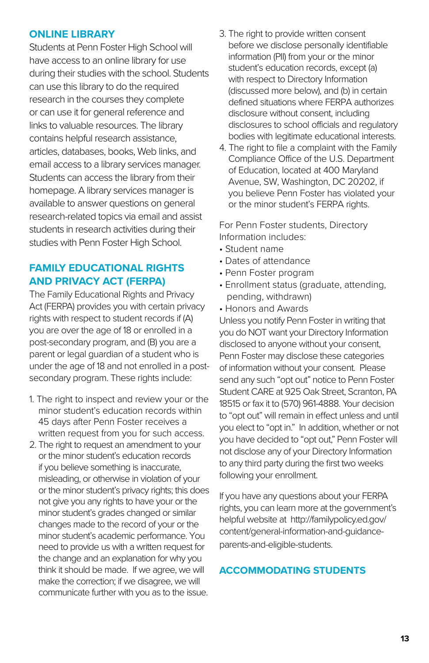## **ONLINE LIBRARY**

Students at Penn Foster High School will have access to an online library for use during their studies with the school. Students can use this library to do the required research in the courses they complete or can use it for general reference and links to valuable resources. The library contains helpful research assistance, articles, databases, books, Web links, and email access to a library services manager. Students can access the library from their homepage. A library services manager is available to answer questions on general research-related topics via email and assist students in research activities during their studies with Penn Foster High School.

## **FAMILY EDUCATIONAL RIGHTS AND PRIVACY ACT (FERPA)**

The Family Educational Rights and Privacy Act (FERPA) provides you with certain privacy rights with respect to student records if (A) you are over the age of 18 or enrolled in a post-secondary program, and (B) you are a parent or legal guardian of a student who is under the age of 18 and not enrolled in a postsecondary program. These rights include:

- 1. The right to inspect and review your or the minor student's education records within 45 days after Penn Foster receives a written request from you for such access.
- 2. The right to request an amendment to your or the minor student's education records if you believe something is inaccurate, misleading, or otherwise in violation of your or the minor student's privacy rights; this does not give you any rights to have your or the minor student's grades changed or similar changes made to the record of your or the minor student's academic performance. You need to provide us with a written request for the change and an explanation for why you think it should be made. If we agree, we will make the correction; if we disagree, we will communicate further with you as to the issue.
- 3. The right to provide written consent before we disclose personally identifiable information (PII) from your or the minor student's education records, except (a) with respect to Directory Information (discussed more below), and (b) in certain defined situations where FERPA authorizes disclosure without consent, including disclosures to school officials and regulatory bodies with legitimate educational interests.
- 4. The right to file a complaint with the Family Compliance Office of the U.S. Department of Education, located at 400 Maryland Avenue, SW, Washington, DC 20202, if you believe Penn Foster has violated your or the minor student's FERPA rights.

For Penn Foster students, Directory Information includes:

- Student name
- Dates of attendance
- Penn Foster program
- Enrollment status (graduate, attending, pending, withdrawn)
- Honors and Awards

Unless you notify Penn Foster in writing that you do NOT want your Directory Information disclosed to anyone without your consent, Penn Foster may disclose these categories of information without your consent. Please send any such "opt out" notice to Penn Foster Student CARE at 925 Oak Street, Scranton, PA 18515 or fax it to (570) 961-4888. Your decision to "opt out" will remain in effect unless and until you elect to "opt in." In addition, whether or not you have decided to "opt out," Penn Foster will not disclose any of your Directory Information to any third party during the first two weeks following your enrollment.

If you have any questions about your FERPA rights, you can learn more at the government's helpful website at http://familypolicy.ed.gov/ content/general-information-and-guidanceparents-and-eligible-students.

## **ACCOMMODATING STUDENTS**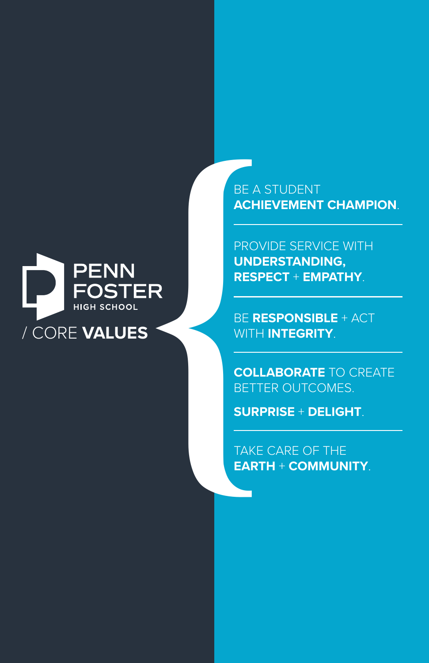

BE A STUDENT **ACHIEVEMENT CHAMPION**.

PROVIDE SERVICE WITH **UNDERSTANDING, RESPECT** + **EMPATHY**.

BE **RESPONSIBLE** + ACT WITH **INTEGRITY**.

**COLLABORATE** TO CREATE BETTER OUTCOMES.

**SURPRISE** + **DELIGHT**.

TAKE CARE OF THE **EARTH** + **COMMUNITY**.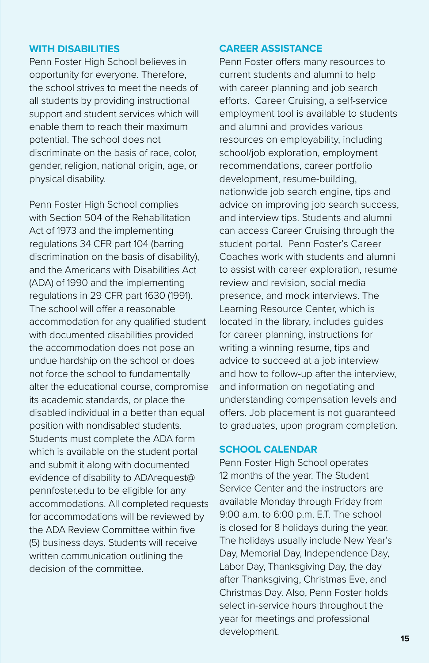### **WITH DISABILITIES**

Penn Foster High School believes in opportunity for everyone. Therefore, the school strives to meet the needs of all students by providing instructional support and student services which will enable them to reach their maximum potential. The school does not discriminate on the basis of race, color, gender, religion, national origin, age, or physical disability.

Penn Foster High School complies with Section 504 of the Rehabilitation Act of 1973 and the implementing regulations 34 CFR part 104 (barring discrimination on the basis of disability), and the Americans with Disabilities Act (ADA) of 1990 and the implementing regulations in 29 CFR part 1630 (1991). The school will offer a reasonable accommodation for any qualified student with documented disabilities provided the accommodation does not pose an undue hardship on the school or does not force the school to fundamentally alter the educational course, compromise its academic standards, or place the disabled individual in a better than equal position with nondisabled students. Students must complete the ADA form which is available on the student portal and submit it along with documented evidence of disability to ADArequest@ pennfoster.edu to be eligible for any accommodations. All completed requests for accommodations will be reviewed by the ADA Review Committee within five (5) business days. Students will receive written communication outlining the decision of the committee.

## **CAREER ASSISTANCE**

Penn Foster offers many resources to current students and alumni to help with career planning and job search efforts. Career Cruising, a self-service employment tool is available to students and alumni and provides various resources on employability, including school/job exploration, employment recommendations, career portfolio development, resume-building, nationwide job search engine, tips and advice on improving job search success, and interview tips. Students and alumni can access Career Cruising through the student portal. Penn Foster's Career Coaches work with students and alumni to assist with career exploration, resume review and revision, social media presence, and mock interviews. The Learning Resource Center, which is located in the library, includes guides for career planning, instructions for writing a winning resume, tips and advice to succeed at a job interview and how to follow-up after the interview, and information on negotiating and understanding compensation levels and offers. Job placement is not guaranteed to graduates, upon program completion.

### **SCHOOL CALENDAR**

Penn Foster High School operates 12 months of the year. The Student Service Center and the instructors are available Monday through Friday from 9:00 a.m. to 6:00 p.m. E.T. The school is closed for 8 holidays during the year. The holidays usually include New Year's Day, Memorial Day, Independence Day, Labor Day, Thanksgiving Day, the day after Thanksgiving, Christmas Eve, and Christmas Day. Also, Penn Foster holds select in-service hours throughout the year for meetings and professional development.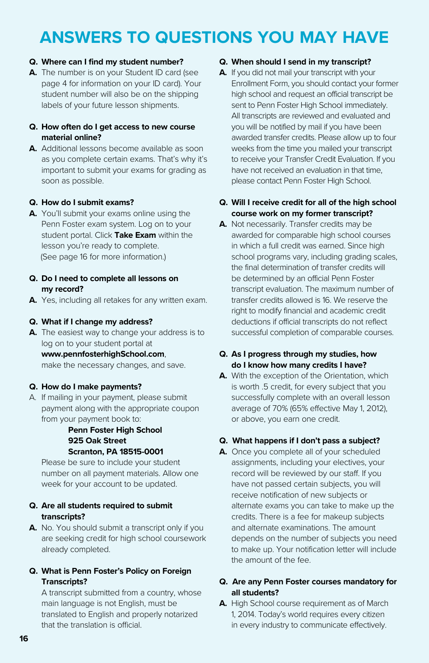## **ANSWERS TO QUESTIONS YOU MAY HAVE**

#### **Q. Where can I find my student number?**

**A.** The number is on your Student ID card (see page 4 for information on your ID card). Your student number will also be on the shipping labels of your future lesson shipments.

#### **Q. How often do I get access to new course material online?**

**A.** Additional lessons become available as soon as you complete certain exams. That's why it's important to submit your exams for grading as soon as possible.

#### **Q. How do I submit exams?**

**A.** You'll submit your exams online using the Penn Foster exam system. Log on to your student portal. Click **Take Exam** within the lesson you're ready to complete. (See page 16 for more information.)

#### **Q. Do I need to complete all lessons on my record?**

**A.** Yes, including all retakes for any written exam.

#### **Q. What if I change my address?**

**A.** The easiest way to change your address is to log on to your student portal at **www.pennfosterhighSchool.com**, make the necessary changes, and save.

#### **Q. How do I make payments?**

A. If mailing in your payment, please submit payment along with the appropriate coupon from your payment book to:

#### **Penn Foster High School 925 Oak Street Scranton, PA 18515-0001**

Please be sure to include your student number on all payment materials. Allow one week for your account to be updated.

#### **Q. Are all students required to submit transcripts?**

**A.** No. You should submit a transcript only if you are seeking credit for high school coursework already completed.

#### **Q. What is Penn Foster's Policy on Foreign Transcripts?**

A transcript submitted from a country, whose main language is not English, must be translated to English and properly notarized that the translation is official.

#### **Q. When should I send in my transcript?**

**A.** If you did not mail your transcript with your Enrollment Form, you should contact your former high school and request an official transcript be sent to Penn Foster High School immediately. All transcripts are reviewed and evaluated and you will be notified by mail if you have been awarded transfer credits. Please allow up to four weeks from the time you mailed your transcript to receive your Transfer Credit Evaluation. If you have not received an evaluation in that time, please contact Penn Foster High School.

#### **Q. Will I receive credit for all of the high school course work on my former transcript?**

**A.** Not necessarily. Transfer credits may be awarded for comparable high school courses in which a full credit was earned. Since high school programs vary, including grading scales, the final determination of transfer credits will be determined by an official Penn Foster transcript evaluation. The maximum number of transfer credits allowed is 16. We reserve the right to modify financial and academic credit deductions if official transcripts do not reflect successful completion of comparable courses.

#### **Q. As I progress through my studies, how do I know how many credits I have?**

**A.** With the exception of the Orientation, which is worth .5 credit, for every subject that you successfully complete with an overall lesson average of 70% (65% effective May 1, 2012), or above, you earn one credit.

#### **Q. What happens if I don't pass a subject?**

**A.** Once you complete all of your scheduled assignments, including your electives, your record will be reviewed by our staff. If you have not passed certain subjects, you will receive notification of new subjects or alternate exams you can take to make up the credits. There is a fee for makeup subjects and alternate examinations. The amount depends on the number of subjects you need to make up. Your notification letter will include the amount of the fee.

#### **Q. Are any Penn Foster courses mandatory for all students?**

**A.** High School course requirement as of March 1, 2014. Today's world requires every citizen in every industry to communicate effectively.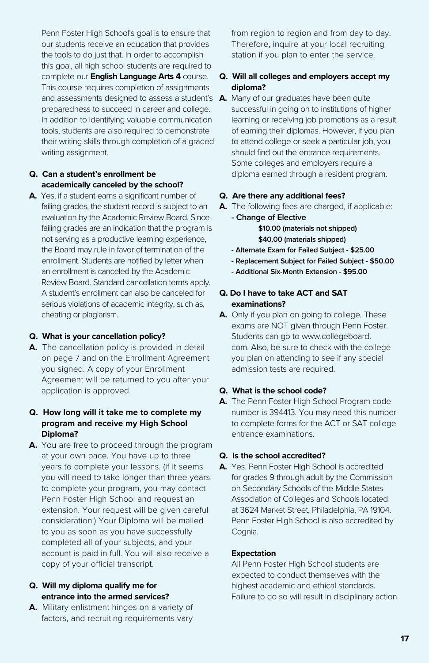Penn Foster High School's goal is to ensure that our students receive an education that provides the tools to do just that. In order to accomplish this goal, all high school students are required to complete our **English Language Arts 4** course. This course requires completion of assignments and assessments designed to assess a student's **A.** Many of our graduates have been quite preparedness to succeed in career and college. In addition to identifying valuable communication tools, students are also required to demonstrate their writing skills through completion of a graded writing assignment.

#### **Q. Can a student's enrollment be academically canceled by the school?**

**A.** Yes, if a student earns a significant number of failing grades, the student record is subject to an evaluation by the Academic Review Board. Since failing grades are an indication that the program is not serving as a productive learning experience, the Board may rule in favor of termination of the enrollment. Students are notified by letter when an enrollment is canceled by the Academic Review Board. Standard cancellation terms apply. A student's enrollment can also be canceled for serious violations of academic integrity, such as, cheating or plagiarism.

#### **Q. What is your cancellation policy?**

**A.** The cancellation policy is provided in detail on page 7 and on the Enrollment Agreement you signed. A copy of your Enrollment Agreement will be returned to you after your application is approved.

#### **Q. How long will it take me to complete my program and receive my High School Diploma?**

**A.** You are free to proceed through the program at your own pace. You have up to three years to complete your lessons. (If it seems you will need to take longer than three years to complete your program, you may contact Penn Foster High School and request an extension. Your request will be given careful consideration.) Your Diploma will be mailed to you as soon as you have successfully completed all of your subjects, and your account is paid in full. You will also receive a copy of your official transcript.

#### **Q. Will my diploma qualify me for entrance into the armed services?**

**A.** Military enlistment hinges on a variety of factors, and recruiting requirements vary

from region to region and from day to day. Therefore, inquire at your local recruiting station if you plan to enter the service.

#### **Q. Will all colleges and employers accept my diploma?**

successful in going on to institutions of higher learning or receiving job promotions as a result of earning their diplomas. However, if you plan to attend college or seek a particular job, you should find out the entrance requirements. Some colleges and employers require a diploma earned through a resident program.

#### **Q. Are there any additional fees?**

**A.** The following fees are charged, if applicable:

**- Change of Elective \$10.00 (materials not shipped) \$40.00 (materials shipped)** 

- **Alternate Exam for Failed Subject \$25.00**
- **Replacement Subject for Failed Subject \$50.00**
- **Additional Six-Month Extension \$95.00**

#### **Q. Do I have to take ACT and SAT examinations?**

**A.** Only if you plan on going to college. These exams are NOT given through Penn Foster. Students can go to www.collegeboard. com. Also, be sure to check with the college you plan on attending to see if any special admission tests are required.

#### **Q. What is the school code?**

**A.** The Penn Foster High School Program code number is 394413. You may need this number to complete forms for the ACT or SAT college entrance examinations.

#### **Q. Is the school accredited?**

**A.** Yes. Penn Foster High School is accredited for grades 9 through adult by the Commission on Secondary Schools of the Middle States Association of Colleges and Schools located at 3624 Market Street, Philadelphia, PA 19104. Penn Foster High School is also accredited by Cognia.

#### **Expectation**

All Penn Foster High School students are expected to conduct themselves with the highest academic and ethical standards. Failure to do so will result in disciplinary action.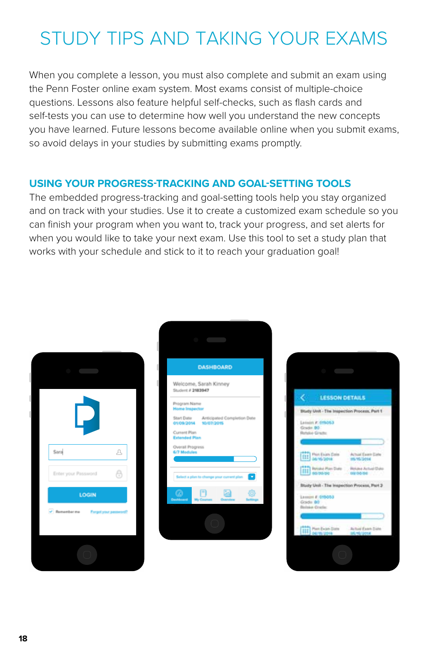## STUDY TIPS AND TAKING YOUR EXAMS

When you complete a lesson, you must also complete and submit an exam using the Penn Foster online exam system. Most exams consist of multiple-choice questions. Lessons also feature helpful self-checks, such as flash cards and self-tests you can use to determine how well you understand the new concepts you have learned. Future lessons become available online when you submit exams, so avoid delays in your studies by submitting exams promptly.

## **USING YOUR PROGRESS-TRACKING AND GOAL-SETTING TOOLS**

The embedded progress-tracking and goal-setting tools help you stay organized and on track with your studies. Use it to create a customized exam schedule so you can finish your program when you want to, track your progress, and set alerts for when you would like to take your next exam. Use this tool to set a study plan that works with your schedule and stick to it to reach your graduation goal!

| Sara                         | $\mathrel{\mathfrak{L}}$ |
|------------------------------|--------------------------|
| Enter your Password<br>LOGIN | e                        |
| v Rememberma Forgotypurg     |                          |
|                              |                          |

| <b>DASHBOARD</b>                                                |  |  |  |  |
|-----------------------------------------------------------------|--|--|--|--|
| Welcome, Sarah Kinney<br>Student # 2183947                      |  |  |  |  |
| Program Name<br><b>Home Inspector</b>                           |  |  |  |  |
| Start Date Anticipated Completion Date<br>01/09/2014 10/07/2015 |  |  |  |  |
| Current Plan<br><b>Extended Plan</b>                            |  |  |  |  |
| Overall Progress<br>6/7 Modules                                 |  |  |  |  |
| Select a plan to change your current pl                         |  |  |  |  |
| Ρ<br>Excellenant                                                |  |  |  |  |
|                                                                 |  |  |  |  |

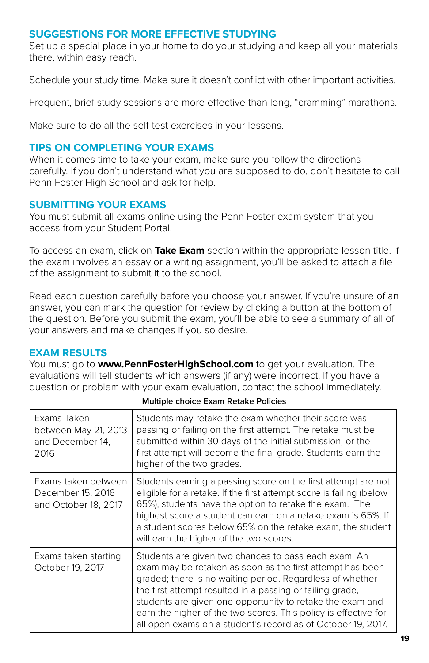## **SUGGESTIONS FOR MORE EFFECTIVE STUDYING**

Set up a special place in your home to do your studying and keep all your materials there, within easy reach.

Schedule your study time. Make sure it doesn't conflict with other important activities.

Frequent, brief study sessions are more effective than long, "cramming" marathons.

Make sure to do all the self-test exercises in your lessons.

## **TIPS ON COMPLETING YOUR EXAMS**

When it comes time to take your exam, make sure you follow the directions carefully. If you don't understand what you are supposed to do, don't hesitate to call Penn Foster High School and ask for help.

## **SUBMITTING YOUR EXAMS**

You must submit all exams online using the Penn Foster exam system that you access from your Student Portal.

To access an exam, click on **Take Exam** section within the appropriate lesson title. If the exam involves an essay or a writing assignment, you'll be asked to attach a file of the assignment to submit it to the school.

Read each question carefully before you choose your answer. If you're unsure of an answer, you can mark the question for review by clicking a button at the bottom of the question. Before you submit the exam, you'll be able to see a summary of all of your answers and make changes if you so desire.

## **EXAM RESULTS**

You must go to **www.PennFosterHighSchool.com** to get your evaluation. The evaluations will tell students which answers (if any) were incorrect. If you have a question or problem with your exam evaluation, contact the school immediately.

| Exams Taken<br>between May 21, 2013<br>and December 14,<br>2016  | Students may retake the exam whether their score was<br>passing or failing on the first attempt. The retake must be<br>submitted within 30 days of the initial submission, or the<br>first attempt will become the final grade. Students earn the<br>higher of the two grades.                                                                                                                                                              |  |  |  |
|------------------------------------------------------------------|---------------------------------------------------------------------------------------------------------------------------------------------------------------------------------------------------------------------------------------------------------------------------------------------------------------------------------------------------------------------------------------------------------------------------------------------|--|--|--|
| Exams taken between<br>December 15, 2016<br>and October 18, 2017 | Students earning a passing score on the first attempt are not<br>eligible for a retake. If the first attempt score is failing (below<br>65%), students have the option to retake the exam. The<br>highest score a student can earn on a retake exam is 65%. If<br>a student scores below 65% on the retake exam, the student<br>will earn the higher of the two scores.                                                                     |  |  |  |
| Exams taken starting<br>October 19, 2017                         | Students are given two chances to pass each exam. An<br>exam may be retaken as soon as the first attempt has been<br>graded; there is no waiting period. Regardless of whether<br>the first attempt resulted in a passing or failing grade,<br>students are given one opportunity to retake the exam and<br>earn the higher of the two scores. This policy is effective for<br>all open exams on a student's record as of October 19, 2017. |  |  |  |

**Multiple choice Exam Retake Policies**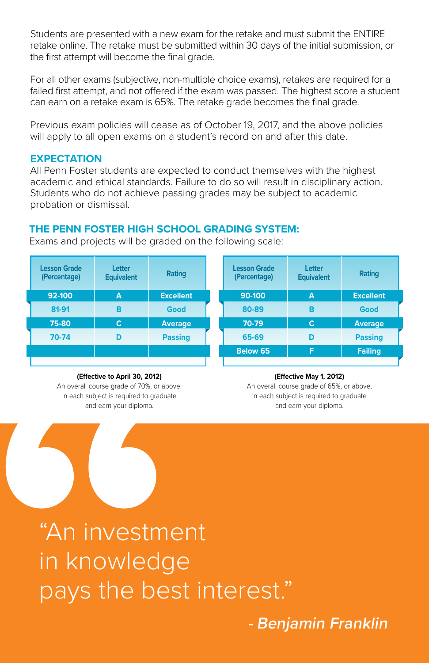Students are presented with a new exam for the retake and must submit the ENTIRE retake online. The retake must be submitted within 30 days of the initial submission, or the first attempt will become the final grade.

For all other exams (subjective, non-multiple choice exams), retakes are required for a failed first attempt, and not offered if the exam was passed. The highest score a student can earn on a retake exam is 65%. The retake grade becomes the final grade.

Previous exam policies will cease as of October 19, 2017, and the above policies will apply to all open exams on a student's record on and after this date.

## **EXPECTATION**

All Penn Foster students are expected to conduct themselves with the highest academic and ethical standards. Failure to do so will result in disciplinary action. Students who do not achieve passing grades may be subject to academic probation or dismissal.

## **THE PENN FOSTER HIGH SCHOOL GRADING SYSTEM:**

Exams and projects will be graded on the following scale:

| <b>Lesson Grade</b><br>(Percentage) | Letter<br><b>Equivalent</b> | Rating           | <b>Lesson Grade</b><br>(Percentage) | Letter<br><b>Equivalent</b> | Rating           |
|-------------------------------------|-----------------------------|------------------|-------------------------------------|-----------------------------|------------------|
| 92-100                              | $\overline{\mathsf{A}}$     | <b>Excellent</b> | 90-100                              | A                           | <b>Excellent</b> |
| 81-91                               | в                           | Good             | 80-89                               | в                           | Good             |
| 75-80                               | C                           | Average          | 70-79                               | C                           | <b>Average</b>   |
| 70-74                               | D                           | <b>Passing</b>   | 65-69                               | D                           | <b>Passing</b>   |
|                                     |                             |                  | Below 65                            | F                           | <b>Failing</b>   |
|                                     |                             |                  |                                     |                             |                  |

#### **(Effective to April 30, 2012)**

An overall course grade of 70%, or above, in each subject is required to graduate and earn your diploma.

#### **(Effective May 1, 2012)**

An overall course grade of 65%, or above, in each subject is required to graduate and earn your diploma.

**Effective to April 30, 2012)**<br>An overall course grade of 70%, or above<br>in each subject is required to graduate<br>and earn your diploma.<br> **"An investme**<br>
in knowledg<br>
pays the bes "An investment in knowledge pays the best interest."

**- Benjamin Franklin**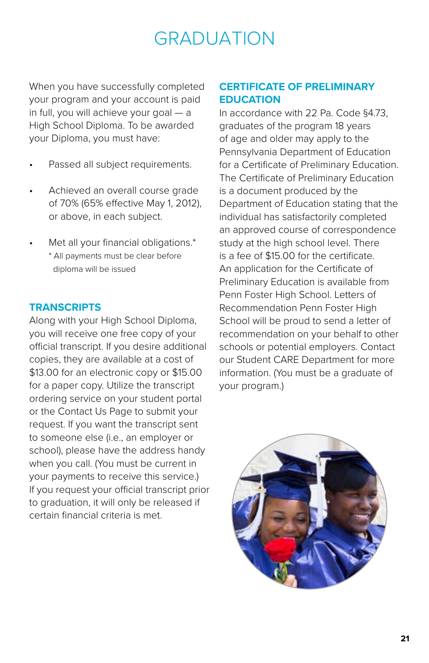## GRADUATION

When you have successfully completed your program and your account is paid in full, you will achieve your goal — a High School Diploma. To be awarded your Diploma, you must have:

- Passed all subject requirements.
- Achieved an overall course grade of 70% (65% effective May 1, 2012), or above, in each subject.
- Met all your financial obligations.\* \* All payments must be clear before diploma will be issued

## **TRANSCRIPTS**

Along with your High School Diploma, you will receive one free copy of your official transcript. If you desire additional copies, they are available at a cost of \$13.00 for an electronic copy or \$15.00 for a paper copy. Utilize the transcript ordering service on your student portal or the Contact Us Page to submit your request. If you want the transcript sent to someone else (i.e., an employer or school), please have the address handy when you call. (You must be current in your payments to receive this service.) If you request your official transcript prior to graduation, it will only be released if certain financial criteria is met.

## **CERTIFICATE OF PRELIMINARY EDUCATION**

In accordance with 22 Pa. Code §4.73, graduates of the program 18 years of age and older may apply to the Pennsylvania Department of Education for a Certificate of Preliminary Education. The Certificate of Preliminary Education is a document produced by the Department of Education stating that the individual has satisfactorily completed an approved course of correspondence study at the high school level. There is a fee of \$15.00 for the certificate. An application for the Certificate of Preliminary Education is available from Penn Foster High School. Letters of Recommendation Penn Foster High School will be proud to send a letter of recommendation on your behalf to other schools or potential employers. Contact our Student CARE Department for more information. (You must be a graduate of your program.)

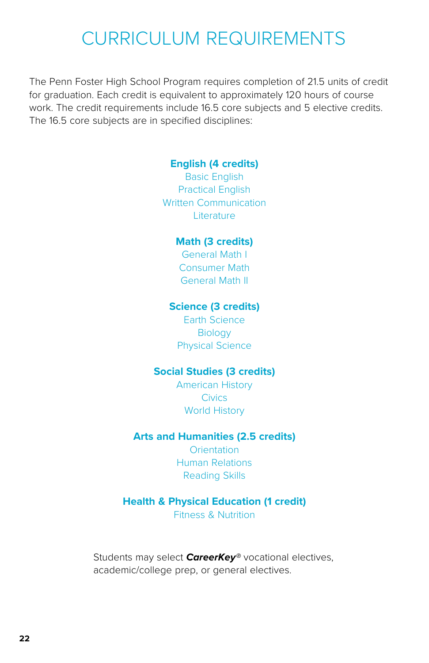## CURRICULUM REQUIREMENTS

The Penn Foster High School Program requires completion of 21.5 units of credit for graduation. Each credit is equivalent to approximately 120 hours of course work. The credit requirements include 16.5 core subjects and 5 elective credits. The 16.5 core subjects are in specified disciplines:

## **English (4 credits)**

Basic English Practical English Written Communication **Literature** 

### **Math (3 credits)**

General Math I Consumer Math General Math II

### **Science (3 credits)**

Earth Science **Biology** Physical Science

## **Social Studies (3 credits)**

American History **Civics** World History

## **Arts and Humanities (2.5 credits)**

**Orientation** Human Relations Reading Skills

## **Health & Physical Education (1 credit)**

Fitness & Nutrition

Students may select *CareerKey®* vocational electives, academic/college prep, or general electives.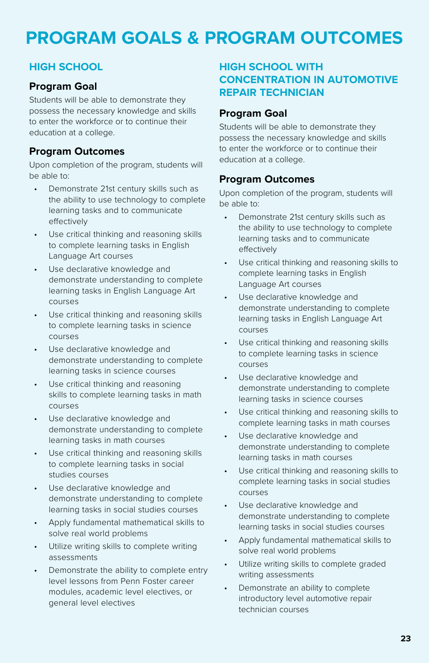## **PROGRAM GOALS & PROGRAM OUTCOMES**

## **HIGH SCHOOL**

## **Program Goal**

Students will be able to demonstrate they possess the necessary knowledge and skills to enter the workforce or to continue their education at a college.

## **Program Outcomes**

Upon completion of the program, students will be able to:

- Demonstrate 21st century skills such as the ability to use technology to complete learning tasks and to communicate effectively
- Use critical thinking and reasoning skills to complete learning tasks in English Language Art courses
- Use declarative knowledge and demonstrate understanding to complete learning tasks in English Language Art courses
- Use critical thinking and reasoning skills to complete learning tasks in science courses
- Use declarative knowledge and demonstrate understanding to complete learning tasks in science courses
- Use critical thinking and reasoning skills to complete learning tasks in math courses
- Use declarative knowledge and demonstrate understanding to complete learning tasks in math courses
- Use critical thinking and reasoning skills to complete learning tasks in social studies courses
- Use declarative knowledge and demonstrate understanding to complete learning tasks in social studies courses
- Apply fundamental mathematical skills to solve real world problems
- Utilize writing skills to complete writing assessments
- Demonstrate the ability to complete entry level lessons from Penn Foster career modules, academic level electives, or general level electives

## **HIGH SCHOOL WITH CONCENTRATION IN AUTOMOTIVE REPAIR TECHNICIAN**

## **Program Goal**

Students will be able to demonstrate they possess the necessary knowledge and skills to enter the workforce or to continue their education at a college.

## **Program Outcomes**

- Demonstrate 21st century skills such as the ability to use technology to complete learning tasks and to communicate effectively
- Use critical thinking and reasoning skills to complete learning tasks in English Language Art courses
- Use declarative knowledge and demonstrate understanding to complete learning tasks in English Language Art courses
- Use critical thinking and reasoning skills to complete learning tasks in science courses
- Use declarative knowledge and demonstrate understanding to complete learning tasks in science courses
- Use critical thinking and reasoning skills to complete learning tasks in math courses
- Use declarative knowledge and demonstrate understanding to complete learning tasks in math courses
- Use critical thinking and reasoning skills to complete learning tasks in social studies courses
- Use declarative knowledge and demonstrate understanding to complete learning tasks in social studies courses
- Apply fundamental mathematical skills to solve real world problems
- Utilize writing skills to complete graded writing assessments
- Demonstrate an ability to complete introductory level automotive repair technician courses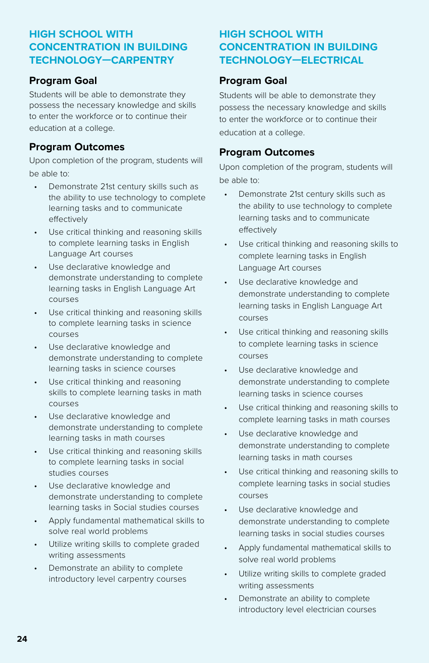## **HIGH SCHOOL WITH CONCENTRATION IN BUILDING TECHNOLOGY—CARPENTRY**

## **Program Goal**

Students will be able to demonstrate they possess the necessary knowledge and skills to enter the workforce or to continue their education at a college.

## **Program Outcomes**

Upon completion of the program, students will be able to:

- Demonstrate 21st century skills such as the ability to use technology to complete learning tasks and to communicate effectively
- Use critical thinking and reasoning skills to complete learning tasks in English Language Art courses
- Use declarative knowledge and demonstrate understanding to complete learning tasks in English Language Art courses
- Use critical thinking and reasoning skills to complete learning tasks in science courses
- Use declarative knowledge and demonstrate understanding to complete learning tasks in science courses
- Use critical thinking and reasoning skills to complete learning tasks in math courses
- Use declarative knowledge and demonstrate understanding to complete learning tasks in math courses
- Use critical thinking and reasoning skills to complete learning tasks in social studies courses
- Use declarative knowledge and demonstrate understanding to complete learning tasks in Social studies courses
- Apply fundamental mathematical skills to solve real world problems
- Utilize writing skills to complete graded writing assessments
- Demonstrate an ability to complete introductory level carpentry courses

## **HIGH SCHOOL WITH CONCENTRATION IN BUILDING TECHNOLOGY—ELECTRICAL**

## **Program Goal**

Students will be able to demonstrate they possess the necessary knowledge and skills to enter the workforce or to continue their education at a college.

### **Program Outcomes**

- Demonstrate 21st century skills such as the ability to use technology to complete learning tasks and to communicate effectively
- Use critical thinking and reasoning skills to complete learning tasks in English Language Art courses
- Use declarative knowledge and demonstrate understanding to complete learning tasks in English Language Art courses
- Use critical thinking and reasoning skills to complete learning tasks in science courses
- Use declarative knowledge and demonstrate understanding to complete learning tasks in science courses
- Use critical thinking and reasoning skills to complete learning tasks in math courses
- Use declarative knowledge and demonstrate understanding to complete learning tasks in math courses
- Use critical thinking and reasoning skills to complete learning tasks in social studies courses
- Use declarative knowledge and demonstrate understanding to complete learning tasks in social studies courses
- Apply fundamental mathematical skills to solve real world problems
- Utilize writing skills to complete graded writing assessments
- Demonstrate an ability to complete introductory level electrician courses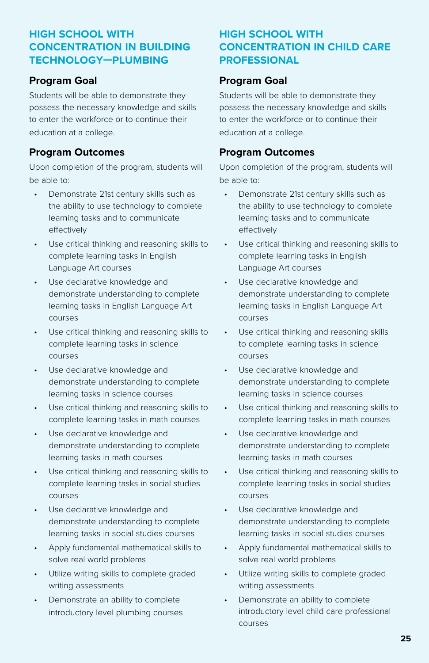## **HIGH SCHOOL WITH CONCENTRATION IN BUILDING TECHNOLOGY—PLUMBING**

## **Program Goal**

Students will be able to demonstrate they possess the necessary knowledge and skills to enter the workforce or to continue their education at a college.

## **Program Outcomes**

Upon completion of the program, students will be able to:

- Demonstrate 21st century skills such as the ability to use technology to complete learning tasks and to communicate effectively
- Use critical thinking and reasoning skills to complete learning tasks in English Language Art courses
- Use declarative knowledge and demonstrate understanding to complete learning tasks in English Language Art courses
- Use critical thinking and reasoning skills to complete learning tasks in science courses
- Use declarative knowledge and demonstrate understanding to complete learning tasks in science courses
- Use critical thinking and reasoning skills to complete learning tasks in math courses
- Use declarative knowledge and demonstrate understanding to complete learning tasks in math courses
- Use critical thinking and reasoning skills to complete learning tasks in social studies courses
- Use declarative knowledge and demonstrate understanding to complete learning tasks in social studies courses
- Apply fundamental mathematical skills to solve real world problems
- Utilize writing skills to complete graded writing assessments
- Demonstrate an ability to complete introductory level plumbing courses

## **HIGH SCHOOL WITH CONCENTRATION IN CHILD CARE PROFESSIONAL**

## **Program Goal**

Students will be able to demonstrate they possess the necessary knowledge and skills to enter the workforce or to continue their education at a college.

## **Program Outcomes**

- Demonstrate 21st century skills such as the ability to use technology to complete learning tasks and to communicate effectively
- Use critical thinking and reasoning skills to complete learning tasks in English Language Art courses
- Use declarative knowledge and demonstrate understanding to complete learning tasks in English Language Art courses
- Use critical thinking and reasoning skills to complete learning tasks in science courses
- Use declarative knowledge and demonstrate understanding to complete learning tasks in science courses
- Use critical thinking and reasoning skills to complete learning tasks in math courses
- Use declarative knowledge and demonstrate understanding to complete learning tasks in math courses
- Use critical thinking and reasoning skills to complete learning tasks in social studies courses
- Use declarative knowledge and demonstrate understanding to complete learning tasks in social studies courses
- Apply fundamental mathematical skills to solve real world problems
- Utilize writing skills to complete graded writing assessments
- Demonstrate an ability to complete introductory level child care professional courses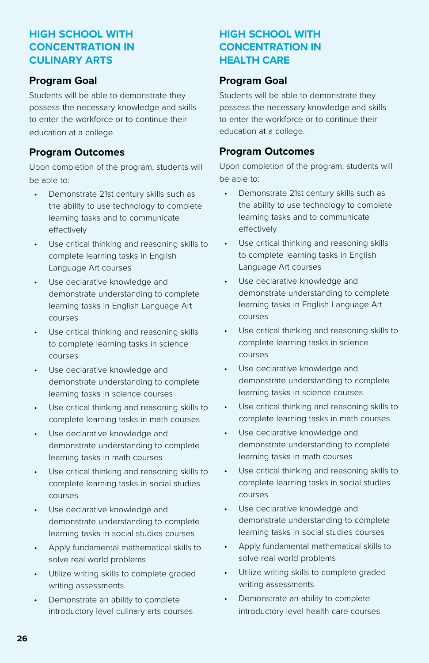## **HIGH SCHOOL WITH CONCENTRATION IN CULINARY ARTS**

## **Program Goal**

Students will be able to demonstrate they possess the necessary knowledge and skills to enter the workforce or to continue their education at a college.

## **Program Outcomes**

Upon completion of the program, students will be able to:

- Demonstrate 21st century skills such as the ability to use technology to complete learning tasks and to communicate effectively
- Use critical thinking and reasoning skills to complete learning tasks in English Language Art courses
- Use declarative knowledge and demonstrate understanding to complete learning tasks in English Language Art courses
- Use critical thinking and reasoning skills to complete learning tasks in science courses
- Use declarative knowledge and demonstrate understanding to complete learning tasks in science courses
- Use critical thinking and reasoning skills to complete learning tasks in math courses
- Use declarative knowledge and demonstrate understanding to complete learning tasks in math courses
- Use critical thinking and reasoning skills to complete learning tasks in social studies courses
- Use declarative knowledge and demonstrate understanding to complete learning tasks in social studies courses
- Apply fundamental mathematical skills to solve real world problems
- Utilize writing skills to complete graded writing assessments
- Demonstrate an ability to complete introductory level culinary arts courses

## **HIGH SCHOOL WITH CONCENTRATION IN HEALTH CARE**

## **Program Goal**

Students will be able to demonstrate they possess the necessary knowledge and skills to enter the workforce or to continue their education at a college.

## **Program Outcomes**

- Demonstrate 21st century skills such as the ability to use technology to complete learning tasks and to communicate effectively
- Use critical thinking and reasoning skills to complete learning tasks in English Language Art courses
- Use declarative knowledge and demonstrate understanding to complete learning tasks in English Language Art courses
- Use critical thinking and reasoning skills to complete learning tasks in science courses
- Use declarative knowledge and demonstrate understanding to complete learning tasks in science courses
- Use critical thinking and reasoning skills to complete learning tasks in math courses
- Use declarative knowledge and demonstrate understanding to complete learning tasks in math courses
- Use critical thinking and reasoning skills to complete learning tasks in social studies courses
- Use declarative knowledge and demonstrate understanding to complete learning tasks in social studies courses
- Apply fundamental mathematical skills to solve real world problems
- Utilize writing skills to complete graded writing assessments
- Demonstrate an ability to complete introductory level health care courses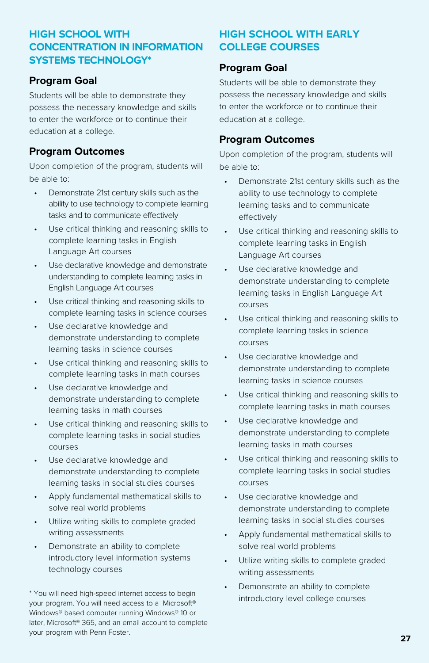## **HIGH SCHOOL WITH CONCENTRATION IN INFORMATION SYSTEMS TECHNOLOGY\***

## **Program Goal**

Students will be able to demonstrate they possess the necessary knowledge and skills to enter the workforce or to continue their education at a college.

## **Program Outcomes**

Upon completion of the program, students will be able to:

- Demonstrate 21st century skills such as the ability to use technology to complete learning tasks and to communicate effectively
- Use critical thinking and reasoning skills to complete learning tasks in English Language Art courses
- Use declarative knowledge and demonstrate understanding to complete learning tasks in English Language Art courses
- Use critical thinking and reasoning skills to complete learning tasks in science courses
- Use declarative knowledge and demonstrate understanding to complete learning tasks in science courses
- Use critical thinking and reasoning skills to complete learning tasks in math courses
- Use declarative knowledge and demonstrate understanding to complete learning tasks in math courses
- Use critical thinking and reasoning skills to complete learning tasks in social studies courses
- Use declarative knowledge and demonstrate understanding to complete learning tasks in social studies courses
- Apply fundamental mathematical skills to solve real world problems
- Utilize writing skills to complete graded writing assessments
- Demonstrate an ability to complete introductory level information systems technology courses

\* You will need high-speed internet access to begin your program. You will need access to a Microsoft® Windows® based computer running Windows® 10 or later, Microsoft® 365, and an email account to complete your program with Penn Foster.

## **HIGH SCHOOL WITH EARLY COLLEGE COURSES**

## **Program Goal**

Students will be able to demonstrate they possess the necessary knowledge and skills to enter the workforce or to continue their education at a college.

## **Program Outcomes**

- Demonstrate 21st century skills such as the ability to use technology to complete learning tasks and to communicate effectively
- Use critical thinking and reasoning skills to complete learning tasks in English Language Art courses
- Use declarative knowledge and demonstrate understanding to complete learning tasks in English Language Art courses
- Use critical thinking and reasoning skills to complete learning tasks in science courses
- Use declarative knowledge and demonstrate understanding to complete learning tasks in science courses
- Use critical thinking and reasoning skills to complete learning tasks in math courses
- Use declarative knowledge and demonstrate understanding to complete learning tasks in math courses
- Use critical thinking and reasoning skills to complete learning tasks in social studies courses
- Use declarative knowledge and demonstrate understanding to complete learning tasks in social studies courses
- Apply fundamental mathematical skills to solve real world problems
- Utilize writing skills to complete graded writing assessments
- Demonstrate an ability to complete introductory level college courses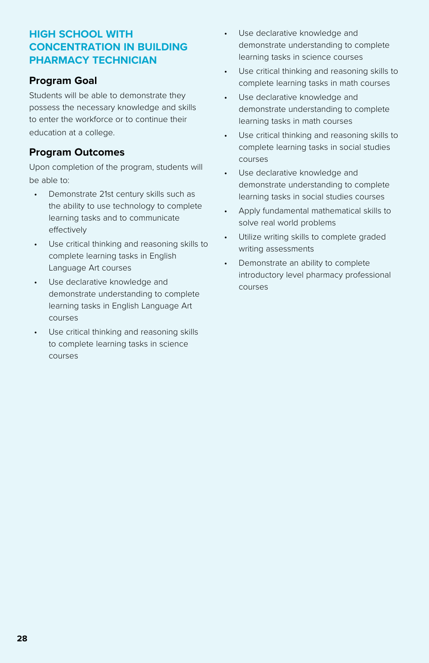## **HIGH SCHOOL WITH CONCENTRATION IN BUILDING PHARMACY TECHNICIAN**

## **Program Goal**

Students will be able to demonstrate they possess the necessary knowledge and skills to enter the workforce or to continue their education at a college.

## **Program Outcomes**

- Demonstrate 21st century skills such as the ability to use technology to complete learning tasks and to communicate effectively
- Use critical thinking and reasoning skills to complete learning tasks in English Language Art courses
- Use declarative knowledge and demonstrate understanding to complete learning tasks in English Language Art courses
- Use critical thinking and reasoning skills to complete learning tasks in science courses
- Use declarative knowledge and demonstrate understanding to complete learning tasks in science courses
- Use critical thinking and reasoning skills to complete learning tasks in math courses
- Use declarative knowledge and demonstrate understanding to complete learning tasks in math courses
- Use critical thinking and reasoning skills to complete learning tasks in social studies courses
- Use declarative knowledge and demonstrate understanding to complete learning tasks in social studies courses
- Apply fundamental mathematical skills to solve real world problems
- Utilize writing skills to complete graded writing assessments
- Demonstrate an ability to complete introductory level pharmacy professional courses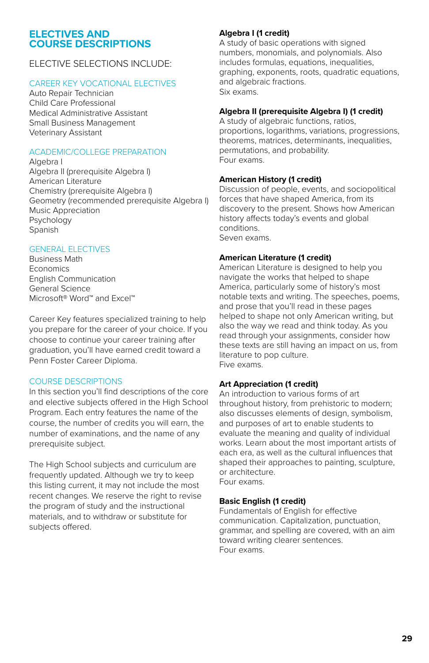#### **ELECTIVES AND COURSE DESCRIPTIONS**

### ELECTIVE SELECTIONS INCLUDE:

### CAREER KEY VOCATIONAL ELECTIVES

Auto Repair Technician Child Care Professional Medical Administrative Assistant Small Business Management Veterinary Assistant

#### ACADEMIC/COLLEGE PREPARATION

Algebra I Algebra II (prerequisite Algebra I) American Literature Chemistry (prerequisite Algebra I) Geometry (recommended prerequisite Algebra I) Music Appreciation Psychology Spanish

### GENERAL ELECTIVES

Business Math **Economics** English Communication General Science Microsoft® Word™ and Excel™

Career Key features specialized training to help you prepare for the career of your choice. If you choose to continue your career training after graduation, you'll have earned credit toward a Penn Foster Career Diploma.

### COURSE DESCRIPTIONS

In this section you'll find descriptions of the core and elective subjects offered in the High School Program. Each entry features the name of the course, the number of credits you will earn, the number of examinations, and the name of any prerequisite subject.

The High School subjects and curriculum are frequently updated. Although we try to keep this listing current, it may not include the most recent changes. We reserve the right to revise the program of study and the instructional materials, and to withdraw or substitute for subjects offered.

### **Algebra I (1 credit)**

A study of basic operations with signed numbers, monomials, and polynomials. Also includes formulas, equations, inequalities, graphing, exponents, roots, quadratic equations, and algebraic fractions. Six exams.

### **Algebra II (prerequisite Algebra I) (1 credit)**

A study of algebraic functions, ratios, proportions, logarithms, variations, progressions, theorems, matrices, determinants, inequalities, permutations, and probability. Four exams.

#### **American History (1 credit)**

Discussion of people, events, and sociopolitical forces that have shaped America, from its discovery to the present. Shows how American history affects today's events and global conditions. Seven exams.

#### **American Literature (1 credit)**

American Literature is designed to help you navigate the works that helped to shape America, particularly some of history's most notable texts and writing. The speeches, poems, and prose that you'll read in these pages helped to shape not only American writing, but also the way we read and think today. As you read through your assignments, consider how these texts are still having an impact on us, from literature to pop culture. Five exams.

#### **Art Appreciation (1 credit)**

An introduction to various forms of art throughout history, from prehistoric to modern; also discusses elements of design, symbolism, and purposes of art to enable students to evaluate the meaning and quality of individual works. Learn about the most important artists of each era, as well as the cultural influences that shaped their approaches to painting, sculpture, or architecture. Four exams.

### **Basic English (1 credit)**

Fundamentals of English for effective communication. Capitalization, punctuation, grammar, and spelling are covered, with an aim toward writing clearer sentences. Four exams.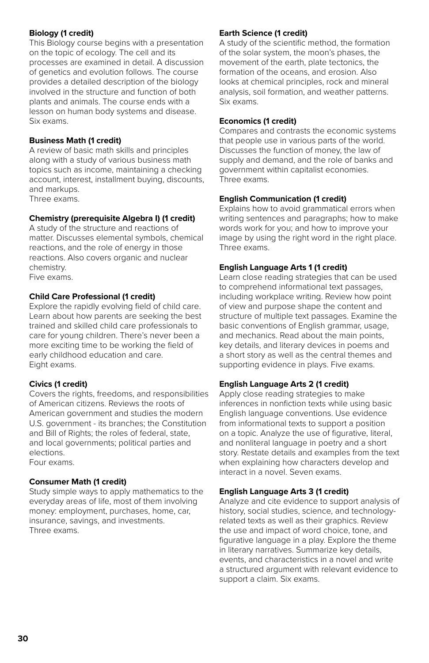#### **Biology (1 credit)**

This Biology course begins with a presentation on the topic of ecology. The cell and its processes are examined in detail. A discussion of genetics and evolution follows. The course provides a detailed description of the biology involved in the structure and function of both plants and animals. The course ends with a lesson on human body systems and disease. Six exams.

#### **Business Math (1 credit)**

A review of basic math skills and principles along with a study of various business math topics such as income, maintaining a checking account, interest, installment buying, discounts, and markups.

Three exams.

#### **Chemistry (prerequisite Algebra I) (1 credit)**

A study of the structure and reactions of matter. Discusses elemental symbols, chemical reactions, and the role of energy in those reactions. Also covers organic and nuclear chemistry.

Five exams.

#### **Child Care Professional (1 credit)**

Explore the rapidly evolving field of child care. Learn about how parents are seeking the best trained and skilled child care professionals to care for young children. There's never been a more exciting time to be working the field of early childhood education and care. Eight exams.

### **Civics (1 credit)**

Covers the rights, freedoms, and responsibilities of American citizens. Reviews the roots of American government and studies the modern U.S. government - its branches; the Constitution and Bill of Rights; the roles of federal, state, and local governments; political parties and elections.

Four exams.

#### **Consumer Math (1 credit)**

Study simple ways to apply mathematics to the everyday areas of life, most of them involving money: employment, purchases, home, car, insurance, savings, and investments. Three exams.

#### **Earth Science (1 credit)**

A study of the scientific method, the formation of the solar system, the moon's phases, the movement of the earth, plate tectonics, the formation of the oceans, and erosion. Also looks at chemical principles, rock and mineral analysis, soil formation, and weather patterns. Six exams.

#### **Economics (1 credit)**

Compares and contrasts the economic systems that people use in various parts of the world. Discusses the function of money, the law of supply and demand, and the role of banks and government within capitalist economies. Three exams.

#### **English Communication (1 credit)**

Explains how to avoid grammatical errors when writing sentences and paragraphs; how to make words work for you; and how to improve your image by using the right word in the right place. Three exams.

#### **English Language Arts 1 (1 credit)**

Learn close reading strategies that can be used to comprehend informational text passages, including workplace writing. Review how point of view and purpose shape the content and structure of multiple text passages. Examine the basic conventions of English grammar, usage, and mechanics. Read about the main points, key details, and literary devices in poems and a short story as well as the central themes and supporting evidence in plays. Five exams.

#### **English Language Arts 2 (1 credit)**

Apply close reading strategies to make inferences in nonfiction texts while using basic English language conventions. Use evidence from informational texts to support a position on a topic. Analyze the use of figurative, literal, and nonliteral language in poetry and a short story. Restate details and examples from the text when explaining how characters develop and interact in a novel. Seven exams.

### **English Language Arts 3 (1 credit)**

Analyze and cite evidence to support analysis of history, social studies, science, and technologyrelated texts as well as their graphics. Review the use and impact of word choice, tone, and figurative language in a play. Explore the theme in literary narratives. Summarize key details, events, and characteristics in a novel and write a structured argument with relevant evidence to support a claim. Six exams.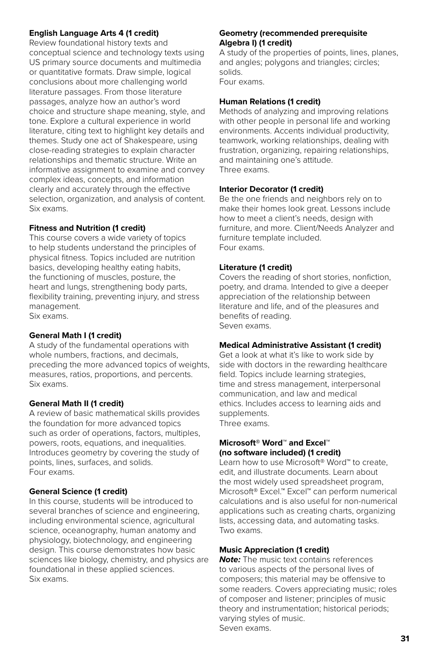#### **English Language Arts 4 (1 credit)**

Review foundational history texts and conceptual science and technology texts using US primary source documents and multimedia or quantitative formats. Draw simple, logical conclusions about more challenging world literature passages. From those literature passages, analyze how an author's word choice and structure shape meaning, style, and tone. Explore a cultural experience in world literature, citing text to highlight key details and themes. Study one act of Shakespeare, using close-reading strategies to explain character relationships and thematic structure. Write an informative assignment to examine and convey complex ideas, concepts, and information clearly and accurately through the effective selection, organization, and analysis of content. Six exams.

#### **Fitness and Nutrition (1 credit)**

This course covers a wide variety of topics to help students understand the principles of physical fitness. Topics included are nutrition basics, developing healthy eating habits, the functioning of muscles, posture, the heart and lungs, strengthening body parts, flexibility training, preventing injury, and stress management. Six exams.

#### **General Math I (1 credit)**

A study of the fundamental operations with whole numbers, fractions, and decimals, preceding the more advanced topics of weights, measures, ratios, proportions, and percents. Six exams.

#### **General Math II (1 credit)**

A review of basic mathematical skills provides the foundation for more advanced topics such as order of operations, factors, multiples, powers, roots, equations, and inequalities. Introduces geometry by covering the study of points, lines, surfaces, and solids. Four exams.

### **General Science (1 credit)**

In this course, students will be introduced to several branches of science and engineering, including environmental science, agricultural science, oceanography, human anatomy and physiology, biotechnology, and engineering design. This course demonstrates how basic sciences like biology, chemistry, and physics are foundational in these applied sciences. Six exams.

#### **Geometry (recommended prerequisite Algebra I) (1 credit)**

A study of the properties of points, lines, planes, and angles; polygons and triangles; circles; solids. Four exams.

## **Human Relations (1 credit)**

Methods of analyzing and improving relations with other people in personal life and working environments. Accents individual productivity, teamwork, working relationships, dealing with frustration, organizing, repairing relationships, and maintaining one's attitude. Three exams.

#### **Interior Decorator (1 credit)**

Be the one friends and neighbors rely on to make their homes look great. Lessons include how to meet a client's needs, design with furniture, and more. Client/Needs Analyzer and furniture template included. Four exams.

#### **Literature (1 credit)**

Covers the reading of short stories, nonfiction, poetry, and drama. Intended to give a deeper appreciation of the relationship between literature and life, and of the pleasures and benefits of reading. Seven exams.

#### **Medical Administrative Assistant (1 credit)**

Get a look at what it's like to work side by side with doctors in the rewarding healthcare field. Topics include learning strategies, time and stress management, interpersonal communication, and law and medical ethics. Includes access to learning aids and supplements. Three exams.

#### **Microsoft® Word**™ **and Excel™ (no software included) (1 credit)**

Learn how to use Microsoft® Word™ to create, edit, and illustrate documents. Learn about the most widely used spreadsheet program, Microsoft® Excel.™ Excel™ can perform numerical calculations and is also useful for non-numerical applications such as creating charts, organizing lists, accessing data, and automating tasks. Two exams.

### **Music Appreciation (1 credit)**

*Note:* The music text contains references to various aspects of the personal lives of composers; this material may be offensive to some readers. Covers appreciating music; roles of composer and listener; principles of music theory and instrumentation; historical periods; varying styles of music. Seven exams.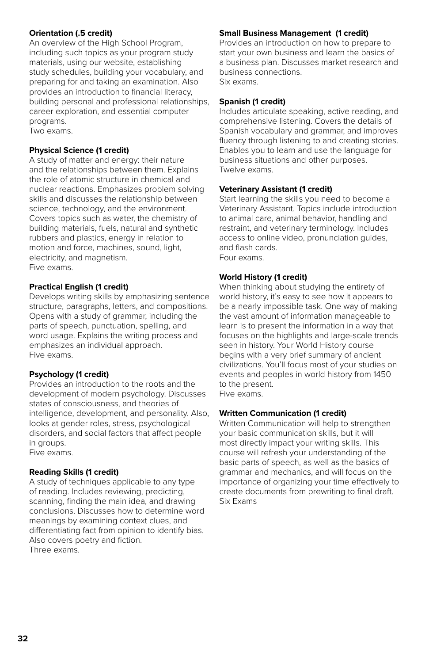#### **Orientation (.5 credit)**

An overview of the High School Program, including such topics as your program study materials, using our website, establishing study schedules, building your vocabulary, and preparing for and taking an examination. Also provides an introduction to financial literacy, building personal and professional relationships, career exploration, and essential computer programs.

Two exams.

#### **Physical Science (1 credit)**

A study of matter and energy: their nature and the relationships between them. Explains the role of atomic structure in chemical and nuclear reactions. Emphasizes problem solving skills and discusses the relationship between science, technology, and the environment. Covers topics such as water, the chemistry of building materials, fuels, natural and synthetic rubbers and plastics, energy in relation to motion and force, machines, sound, light, electricity, and magnetism. Five exams.

#### **Practical English (1 credit)**

Develops writing skills by emphasizing sentence structure, paragraphs, letters, and compositions. Opens with a study of grammar, including the parts of speech, punctuation, spelling, and word usage. Explains the writing process and emphasizes an individual approach. Five exams.

#### **Psychology (1 credit)**

Provides an introduction to the roots and the development of modern psychology. Discusses states of consciousness, and theories of intelligence, development, and personality. Also, looks at gender roles, stress, psychological disorders, and social factors that affect people in groups. Five exams.

#### **Reading Skills (1 credit)**

A study of techniques applicable to any type of reading. Includes reviewing, predicting, scanning, finding the main idea, and drawing conclusions. Discusses how to determine word meanings by examining context clues, and differentiating fact from opinion to identify bias. Also covers poetry and fiction. Three exams.

### **Small Business Management (1 credit)**

Provides an introduction on how to prepare to start your own business and learn the basics of a business plan. Discusses market research and business connections. Six exams.

### **Spanish (1 credit)**

Includes articulate speaking, active reading, and comprehensive listening. Covers the details of Spanish vocabulary and grammar, and improves fluency through listening to and creating stories. Enables you to learn and use the language for business situations and other purposes. Twelve exams.

### **Veterinary Assistant (1 credit)**

Start learning the skills you need to become a Veterinary Assistant. Topics include introduction to animal care, animal behavior, handling and restraint, and veterinary terminology. Includes access to online video, pronunciation guides, and flash cards. Four exams.

#### **World History (1 credit)**

When thinking about studying the entirety of world history, it's easy to see how it appears to be a nearly impossible task. One way of making the vast amount of information manageable to learn is to present the information in a way that focuses on the highlights and large-scale trends seen in history. Your World History course begins with a very brief summary of ancient civilizations. You'll focus most of your studies on events and peoples in world history from 1450 to the present. Five exams.

#### **Written Communication (1 credit)**

Written Communication will help to strengthen your basic communication skills, but it will most directly impact your writing skills. This course will refresh your understanding of the basic parts of speech, as well as the basics of grammar and mechanics, and will focus on the importance of organizing your time effectively to create documents from prewriting to final draft. Six Exams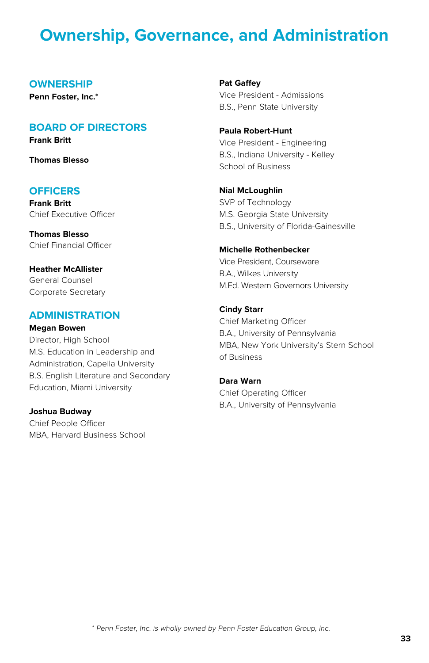## **Ownership, Governance, and Administration**

#### **OWNERSHIP**

**Penn Foster, Inc.\***

## **BOARD OF DIRECTORS**

**Frank Britt**

**Thomas Blesso**

### **OFFICERS**

**Frank Britt** Chief Executive Officer

**Thomas Blesso** Chief Financial Officer

**Heather McAllister** General Counsel Corporate Secretary

### **ADMINISTRATION**

#### **Megan Bowen**

Director, High School M.S. Education in Leadership and Administration, Capella University B.S. English Literature and Secondary Education, Miami University

#### **Joshua Budway**

Chief People Officer MBA, Harvard Business School **Pat Gaffey** Vice President - Admissions B.S., Penn State University

**Paula Robert-Hunt** Vice President - Engineering B.S., Indiana University - Kelley School of Business

**Nial McLoughlin** SVP of Technology M.S. Georgia State University B.S., University of Florida-Gainesville

## **Michelle Rothenbecker** Vice President, Courseware

B.A., Wilkes University M.Ed. Western Governors University

#### **Cindy Starr**

Chief Marketing Officer B.A., University of Pennsylvania MBA, New York University's Stern School of Business

### **Dara Warn** Chief Operating Officer B.A., University of Pennsylvania

\* Penn Foster, Inc. is wholly owned by Penn Foster Education Group, Inc.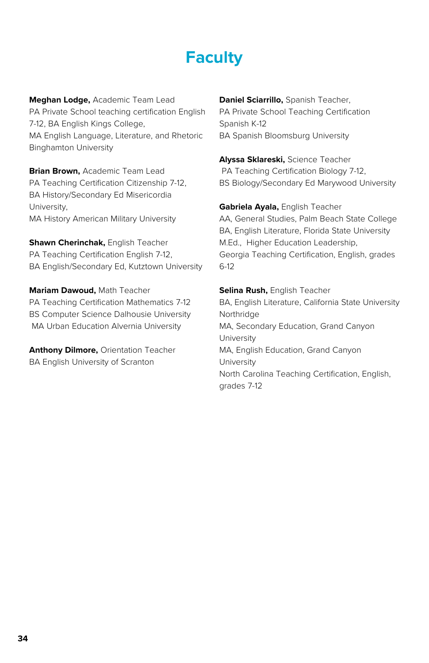## **Faculty**

**Meghan Lodge,** Academic Team Lead PA Private School teaching certification English 7-12, BA English Kings College, MA English Language, Literature, and Rhetoric Binghamton University

**Brian Brown,** Academic Team Lead PA Teaching Certification Citizenship 7-12, BA History/Secondary Ed Misericordia University, MA History American Military University

**Shawn Cherinchak,** English Teacher PA Teaching Certification English 7-12, BA English/Secondary Ed, Kutztown University

**Mariam Dawoud,** Math Teacher PA Teaching Certification Mathematics 7-12 BS Computer Science Dalhousie University MA Urban Education Alvernia University

**Anthony Dilmore,** Orientation Teacher BA English University of Scranton

**Daniel Sciarrillo,** Spanish Teacher, PA Private School Teaching Certification Spanish K-12 BA Spanish Bloomsburg University

**Alyssa Sklareski,** Science Teacher PA Teaching Certification Biology 7-12, BS Biology/Secondary Ed Marywood University

**Gabriela Ayala,** English Teacher AA, General Studies, Palm Beach State College BA, English Literature, Florida State University M.Ed., Higher Education Leadership, Georgia Teaching Certification, English, grades 6-12

**Selina Rush,** English Teacher BA, English Literature, California State University Northridge MA, Secondary Education, Grand Canyon University MA, English Education, Grand Canyon **University** North Carolina Teaching Certification, English, grades 7-12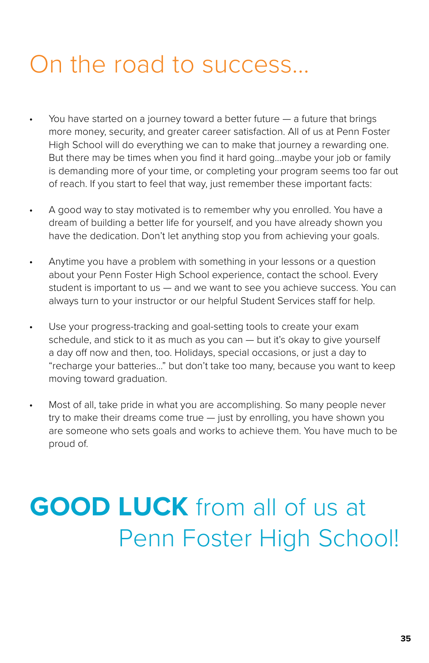## On the road to success...

- You have started on a journey toward a better future a future that brings more money, security, and greater career satisfaction. All of us at Penn Foster High School will do everything we can to make that journey a rewarding one. But there may be times when you find it hard going...maybe your job or family is demanding more of your time, or completing your program seems too far out of reach. If you start to feel that way, just remember these important facts:
- A good way to stay motivated is to remember why you enrolled. You have a dream of building a better life for yourself, and you have already shown you have the dedication. Don't let anything stop you from achieving your goals.
- Anytime you have a problem with something in your lessons or a question about your Penn Foster High School experience, contact the school. Every student is important to us — and we want to see you achieve success. You can always turn to your instructor or our helpful Student Services staff for help.
- Use your progress-tracking and goal-setting tools to create your exam schedule, and stick to it as much as you can - but it's okay to give yourself a day off now and then, too. Holidays, special occasions, or just a day to "recharge your batteries..." but don't take too many, because you want to keep moving toward graduation.
- Most of all, take pride in what you are accomplishing. So many people never try to make their dreams come true — just by enrolling, you have shown you are someone who sets goals and works to achieve them. You have much to be proud of.

## **GOOD LUCK** from all of us at Penn Foster High School!